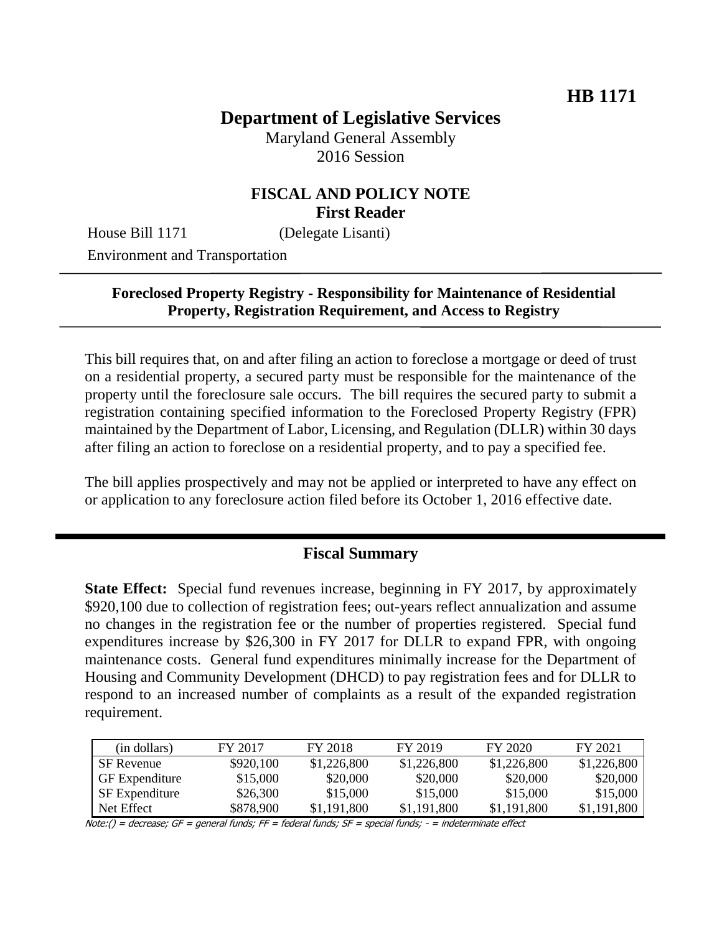# **Department of Legislative Services**

Maryland General Assembly 2016 Session

### **FISCAL AND POLICY NOTE First Reader**

House Bill 1171 (Delegate Lisanti)

Environment and Transportation

#### **Foreclosed Property Registry - Responsibility for Maintenance of Residential Property, Registration Requirement, and Access to Registry**

This bill requires that, on and after filing an action to foreclose a mortgage or deed of trust on a residential property, a secured party must be responsible for the maintenance of the property until the foreclosure sale occurs. The bill requires the secured party to submit a registration containing specified information to the Foreclosed Property Registry (FPR) maintained by the Department of Labor, Licensing, and Regulation (DLLR) within 30 days after filing an action to foreclose on a residential property, and to pay a specified fee.

The bill applies prospectively and may not be applied or interpreted to have any effect on or application to any foreclosure action filed before its October 1, 2016 effective date.

## **Fiscal Summary**

**State Effect:** Special fund revenues increase, beginning in FY 2017, by approximately \$920,100 due to collection of registration fees; out-years reflect annualization and assume no changes in the registration fee or the number of properties registered. Special fund expenditures increase by \$26,300 in FY 2017 for DLLR to expand FPR, with ongoing maintenance costs. General fund expenditures minimally increase for the Department of Housing and Community Development (DHCD) to pay registration fees and for DLLR to respond to an increased number of complaints as a result of the expanded registration requirement.

| (in dollars)          | FY 2017   | FY 2018     | FY 2019     | FY 2020     | FY 2021     |
|-----------------------|-----------|-------------|-------------|-------------|-------------|
| SF Revenue            | \$920,100 | \$1,226,800 | \$1,226,800 | \$1,226,800 | \$1,226,800 |
| <b>GF</b> Expenditure | \$15,000  | \$20,000    | \$20,000    | \$20,000    | \$20,000    |
| <b>SF</b> Expenditure | \$26,300  | \$15,000    | \$15,000    | \$15,000    | \$15,000    |
| Net Effect            | \$878,900 | \$1,191,800 | \$1,191,800 | \$1,191,800 | \$1,191,800 |

Note:() = decrease; GF = general funds; FF = federal funds;  $SF$  = special funds;  $-$  = indeterminate effect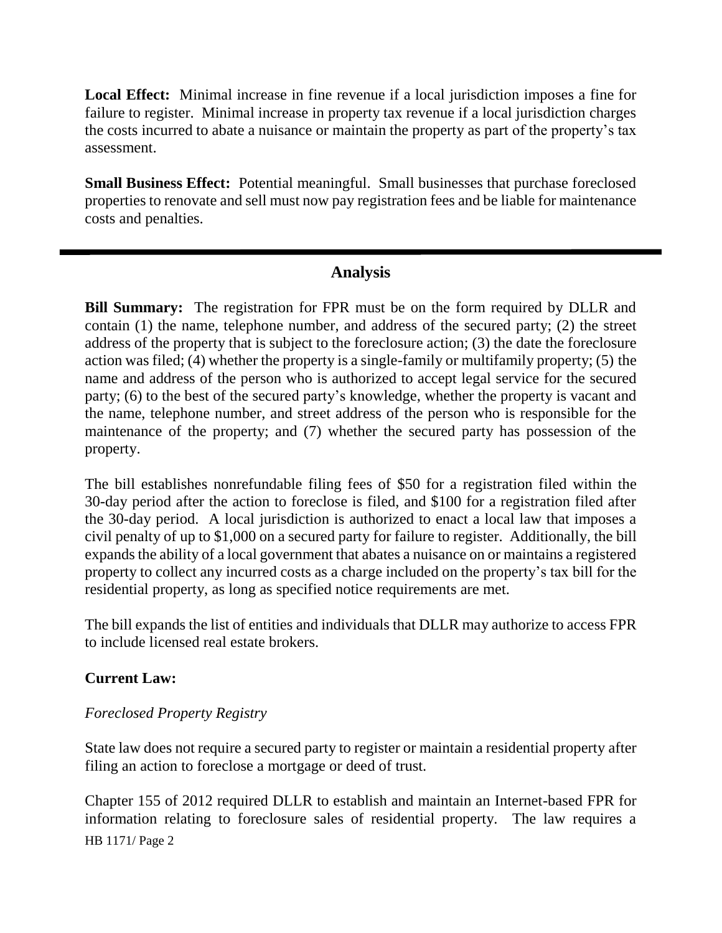**Local Effect:** Minimal increase in fine revenue if a local jurisdiction imposes a fine for failure to register. Minimal increase in property tax revenue if a local jurisdiction charges the costs incurred to abate a nuisance or maintain the property as part of the property's tax assessment.

**Small Business Effect:** Potential meaningful. Small businesses that purchase foreclosed properties to renovate and sell must now pay registration fees and be liable for maintenance costs and penalties.

# **Analysis**

**Bill Summary:** The registration for FPR must be on the form required by DLLR and contain (1) the name, telephone number, and address of the secured party; (2) the street address of the property that is subject to the foreclosure action; (3) the date the foreclosure action was filed; (4) whether the property is a single-family or multifamily property; (5) the name and address of the person who is authorized to accept legal service for the secured party; (6) to the best of the secured party's knowledge, whether the property is vacant and the name, telephone number, and street address of the person who is responsible for the maintenance of the property; and (7) whether the secured party has possession of the property.

The bill establishes nonrefundable filing fees of \$50 for a registration filed within the 30-day period after the action to foreclose is filed, and \$100 for a registration filed after the 30-day period. A local jurisdiction is authorized to enact a local law that imposes a civil penalty of up to \$1,000 on a secured party for failure to register. Additionally, the bill expands the ability of a local government that abates a nuisance on or maintains a registered property to collect any incurred costs as a charge included on the property's tax bill for the residential property, as long as specified notice requirements are met.

The bill expands the list of entities and individuals that DLLR may authorize to access FPR to include licensed real estate brokers.

#### **Current Law:**

#### *Foreclosed Property Registry*

State law does not require a secured party to register or maintain a residential property after filing an action to foreclose a mortgage or deed of trust.

HB 1171/ Page 2 Chapter 155 of 2012 required DLLR to establish and maintain an Internet-based FPR for information relating to foreclosure sales of residential property. The law requires a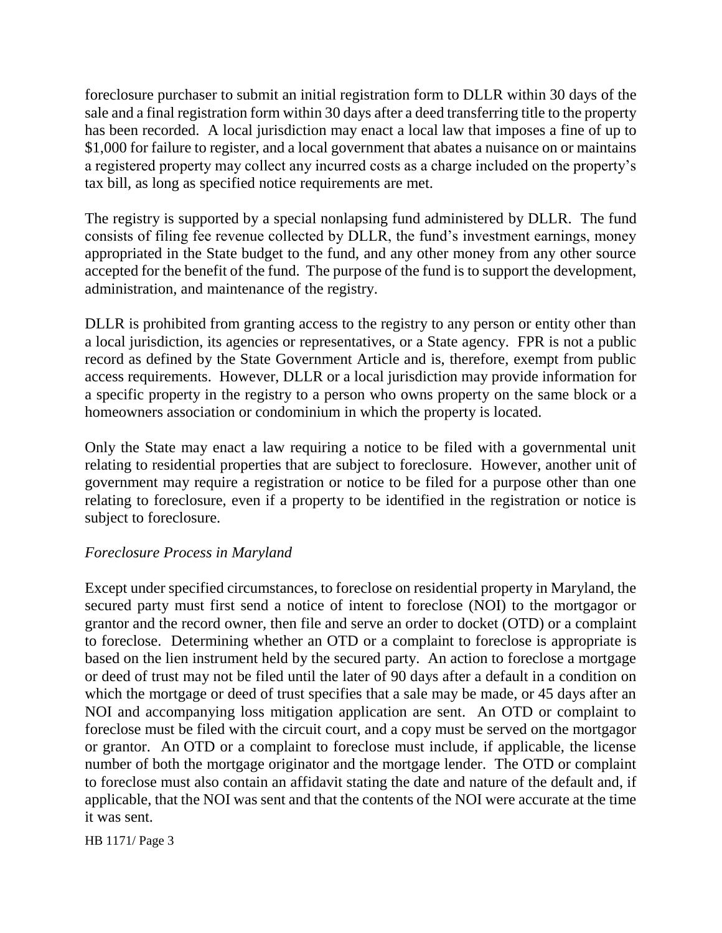foreclosure purchaser to submit an initial registration form to DLLR within 30 days of the sale and a final registration form within 30 days after a deed transferring title to the property has been recorded. A local jurisdiction may enact a local law that imposes a fine of up to \$1,000 for failure to register, and a local government that abates a nuisance on or maintains a registered property may collect any incurred costs as a charge included on the property's tax bill, as long as specified notice requirements are met.

The registry is supported by a special nonlapsing fund administered by DLLR. The fund consists of filing fee revenue collected by DLLR, the fund's investment earnings, money appropriated in the State budget to the fund, and any other money from any other source accepted for the benefit of the fund. The purpose of the fund is to support the development, administration, and maintenance of the registry.

DLLR is prohibited from granting access to the registry to any person or entity other than a local jurisdiction, its agencies or representatives, or a State agency. FPR is not a public record as defined by the State Government Article and is, therefore, exempt from public access requirements. However, DLLR or a local jurisdiction may provide information for a specific property in the registry to a person who owns property on the same block or a homeowners association or condominium in which the property is located.

Only the State may enact a law requiring a notice to be filed with a governmental unit relating to residential properties that are subject to foreclosure. However, another unit of government may require a registration or notice to be filed for a purpose other than one relating to foreclosure, even if a property to be identified in the registration or notice is subject to foreclosure.

#### *Foreclosure Process in Maryland*

Except under specified circumstances, to foreclose on residential property in Maryland, the secured party must first send a notice of intent to foreclose (NOI) to the mortgagor or grantor and the record owner, then file and serve an order to docket (OTD) or a complaint to foreclose. Determining whether an OTD or a complaint to foreclose is appropriate is based on the lien instrument held by the secured party. An action to foreclose a mortgage or deed of trust may not be filed until the later of 90 days after a default in a condition on which the mortgage or deed of trust specifies that a sale may be made, or 45 days after an NOI and accompanying loss mitigation application are sent. An OTD or complaint to foreclose must be filed with the circuit court, and a copy must be served on the mortgagor or grantor. An OTD or a complaint to foreclose must include, if applicable, the license number of both the mortgage originator and the mortgage lender. The OTD or complaint to foreclose must also contain an affidavit stating the date and nature of the default and, if applicable, that the NOI was sent and that the contents of the NOI were accurate at the time it was sent.

HB 1171/ Page 3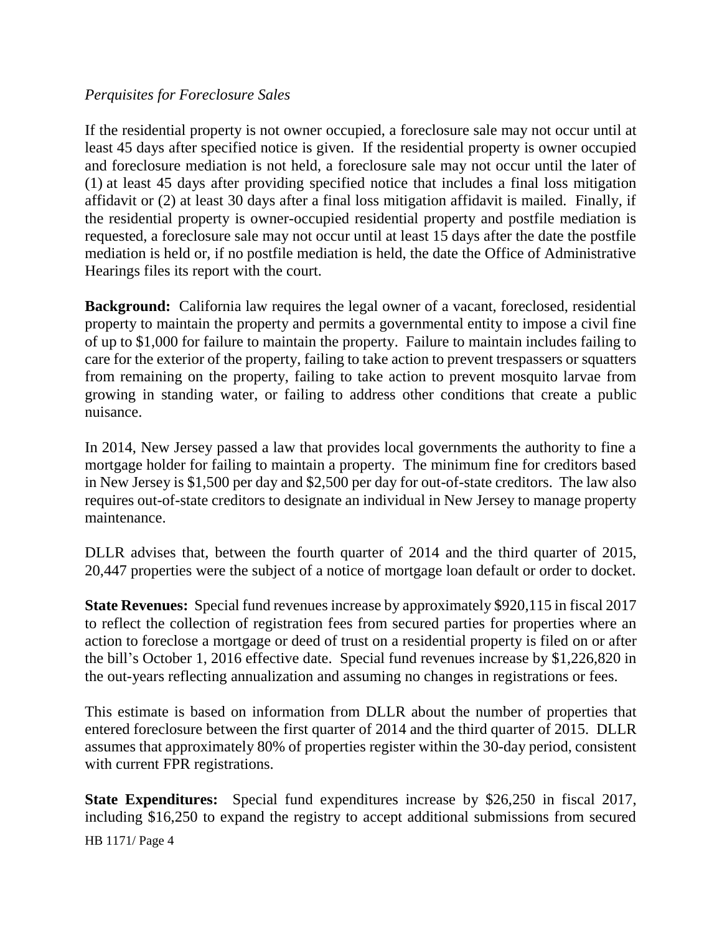#### *Perquisites for Foreclosure Sales*

If the residential property is not owner occupied, a foreclosure sale may not occur until at least 45 days after specified notice is given. If the residential property is owner occupied and foreclosure mediation is not held, a foreclosure sale may not occur until the later of (1) at least 45 days after providing specified notice that includes a final loss mitigation affidavit or (2) at least 30 days after a final loss mitigation affidavit is mailed. Finally, if the residential property is owner-occupied residential property and postfile mediation is requested, a foreclosure sale may not occur until at least 15 days after the date the postfile mediation is held or, if no postfile mediation is held, the date the Office of Administrative Hearings files its report with the court.

**Background:** California law requires the legal owner of a vacant, foreclosed, residential property to maintain the property and permits a governmental entity to impose a civil fine of up to \$1,000 for failure to maintain the property. Failure to maintain includes failing to care for the exterior of the property, failing to take action to prevent trespassers or squatters from remaining on the property, failing to take action to prevent mosquito larvae from growing in standing water, or failing to address other conditions that create a public nuisance.

In 2014, New Jersey passed a law that provides local governments the authority to fine a mortgage holder for failing to maintain a property. The minimum fine for creditors based in New Jersey is \$1,500 per day and \$2,500 per day for out-of-state creditors. The law also requires out-of-state creditors to designate an individual in New Jersey to manage property maintenance.

DLLR advises that, between the fourth quarter of 2014 and the third quarter of 2015, 20,447 properties were the subject of a notice of mortgage loan default or order to docket.

**State Revenues:** Special fund revenues increase by approximately \$920,115 in fiscal 2017 to reflect the collection of registration fees from secured parties for properties where an action to foreclose a mortgage or deed of trust on a residential property is filed on or after the bill's October 1, 2016 effective date. Special fund revenues increase by \$1,226,820 in the out-years reflecting annualization and assuming no changes in registrations or fees.

This estimate is based on information from DLLR about the number of properties that entered foreclosure between the first quarter of 2014 and the third quarter of 2015. DLLR assumes that approximately 80% of properties register within the 30-day period, consistent with current FPR registrations.

**State Expenditures:** Special fund expenditures increase by \$26,250 in fiscal 2017, including \$16,250 to expand the registry to accept additional submissions from secured

HB 1171/ Page 4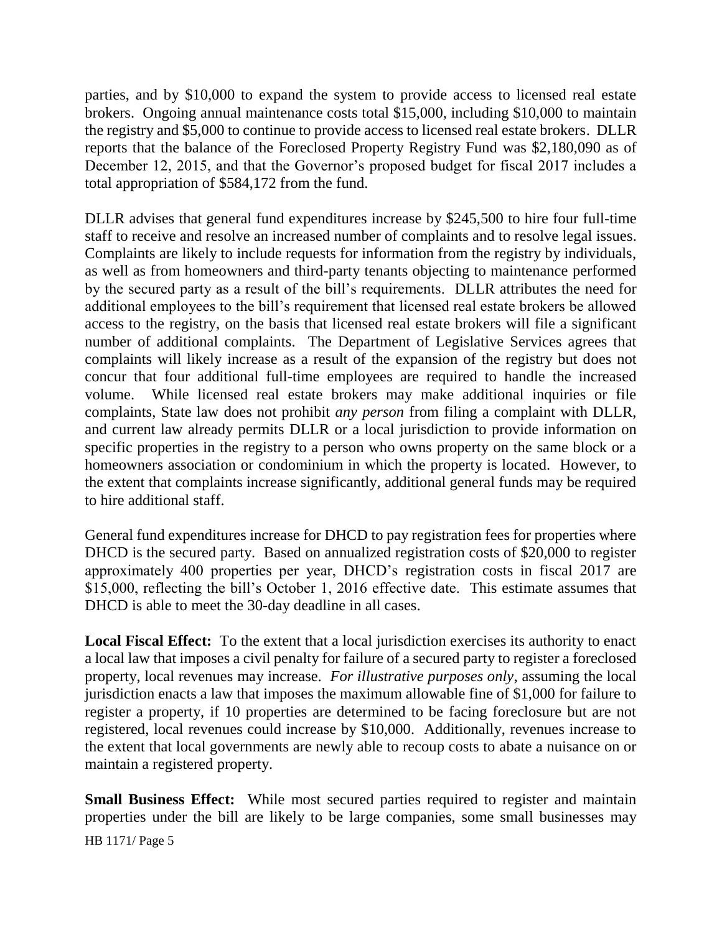parties, and by \$10,000 to expand the system to provide access to licensed real estate brokers. Ongoing annual maintenance costs total \$15,000, including \$10,000 to maintain the registry and \$5,000 to continue to provide access to licensed real estate brokers. DLLR reports that the balance of the Foreclosed Property Registry Fund was \$2,180,090 as of December 12, 2015, and that the Governor's proposed budget for fiscal 2017 includes a total appropriation of \$584,172 from the fund.

DLLR advises that general fund expenditures increase by \$245,500 to hire four full-time staff to receive and resolve an increased number of complaints and to resolve legal issues. Complaints are likely to include requests for information from the registry by individuals, as well as from homeowners and third-party tenants objecting to maintenance performed by the secured party as a result of the bill's requirements. DLLR attributes the need for additional employees to the bill's requirement that licensed real estate brokers be allowed access to the registry, on the basis that licensed real estate brokers will file a significant number of additional complaints. The Department of Legislative Services agrees that complaints will likely increase as a result of the expansion of the registry but does not concur that four additional full-time employees are required to handle the increased volume. While licensed real estate brokers may make additional inquiries or file complaints, State law does not prohibit *any person* from filing a complaint with DLLR, and current law already permits DLLR or a local jurisdiction to provide information on specific properties in the registry to a person who owns property on the same block or a homeowners association or condominium in which the property is located. However, to the extent that complaints increase significantly, additional general funds may be required to hire additional staff.

General fund expenditures increase for DHCD to pay registration fees for properties where DHCD is the secured party. Based on annualized registration costs of \$20,000 to register approximately 400 properties per year, DHCD's registration costs in fiscal 2017 are \$15,000, reflecting the bill's October 1, 2016 effective date. This estimate assumes that DHCD is able to meet the 30-day deadline in all cases.

**Local Fiscal Effect:** To the extent that a local jurisdiction exercises its authority to enact a local law that imposes a civil penalty for failure of a secured party to register a foreclosed property, local revenues may increase. *For illustrative purposes only*, assuming the local jurisdiction enacts a law that imposes the maximum allowable fine of \$1,000 for failure to register a property, if 10 properties are determined to be facing foreclosure but are not registered, local revenues could increase by \$10,000. Additionally, revenues increase to the extent that local governments are newly able to recoup costs to abate a nuisance on or maintain a registered property.

**Small Business Effect:** While most secured parties required to register and maintain properties under the bill are likely to be large companies, some small businesses may

HB 1171/ Page 5